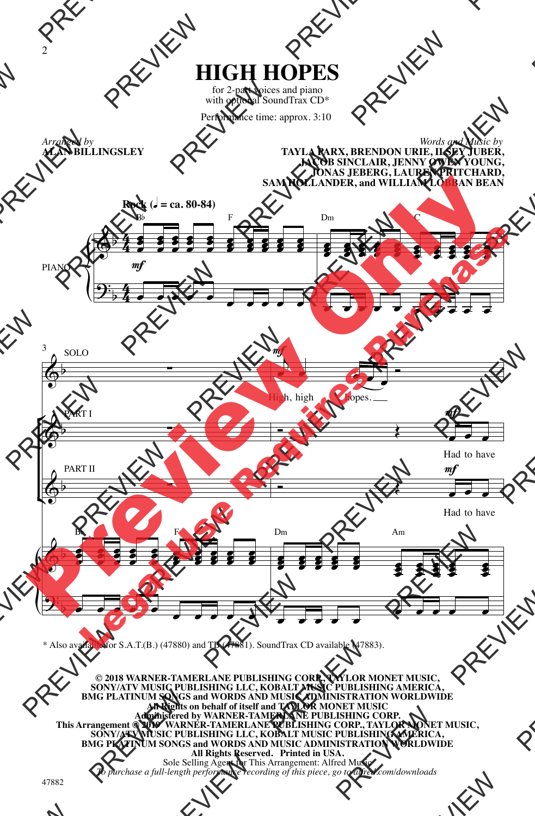## **HIGH HOPES**

for 2-part voices and piano with optional SoundTrax CD\*

Performance time: approx. 3:10

*Arranged by* **ALAN BILLINGSLEY**

*Words and Music by* **TAYLA PARX, BRENDON URIE, ILSEY JUBER, JACOB SINCLAIR, JENNY OWEN YOUNG, JONAS JEBERG, LAUREN PRITCHARD, SAM HOLLANDER, and WILLIAM LOBBAN BEAN**



\* Also available for S.A.T.(B.) (47880) and TB (47881). SoundTrax CD available (47883).

**© 2018 WARNER-TAMERLANE PUBLISHING CORP., TAYLOR MONET MUSIC, SONY/ATV MUSIC PUBLISHING LLC, KOBALT MUSIC PUBLISHING AMERICA, BMG PLATINUM SONGS and WORDS AND MUSIC ADMINISTRATION WORLDWIDE All Rights on behalf of itself and TAYLOR MONET MUSIC Administered by WARNER-TAMERLANE PUBLISHING CORP. This Arrangement © 2019 WARNER-TAMERLANE PUBLISHING CORP., TAYLOR MONET MUSIC, SONY/ATV MUSIC PUBLISHING LLC, KOBALT MUSIC PUBLISHING AMERICA, BMG PLATINUM SONGS and WORDS AND MUSIC ADMINISTRATION WORLDWIDE All Rights Reserved. Printed in USA.** Sole Selling Agent for This Arrangement: Alfred Music *To purchase a full-length performance recording of this piece, go to alfred.com/downloads*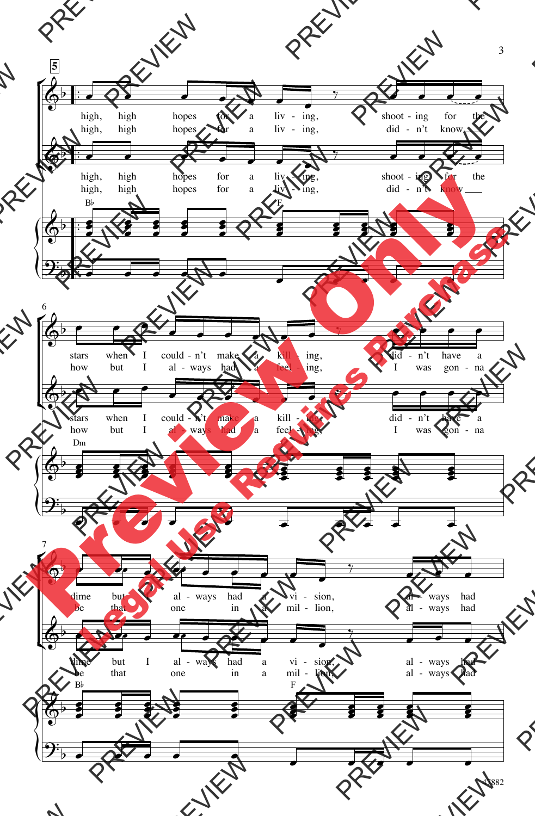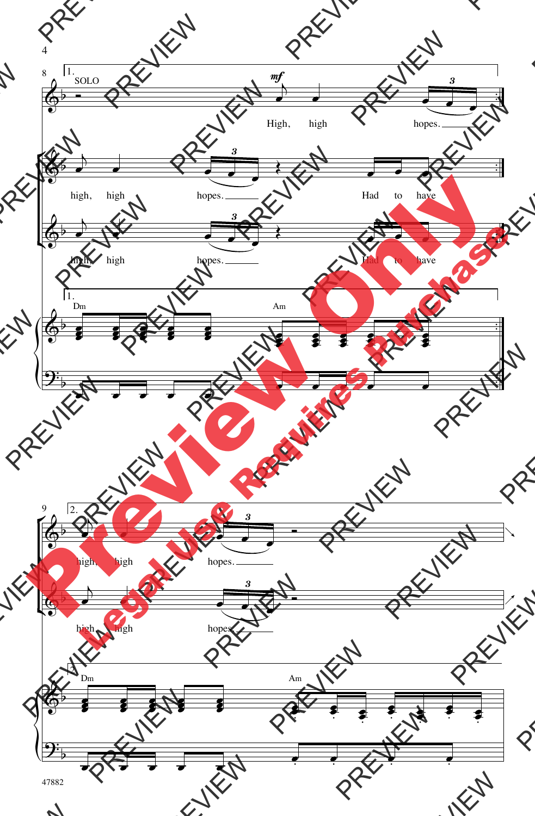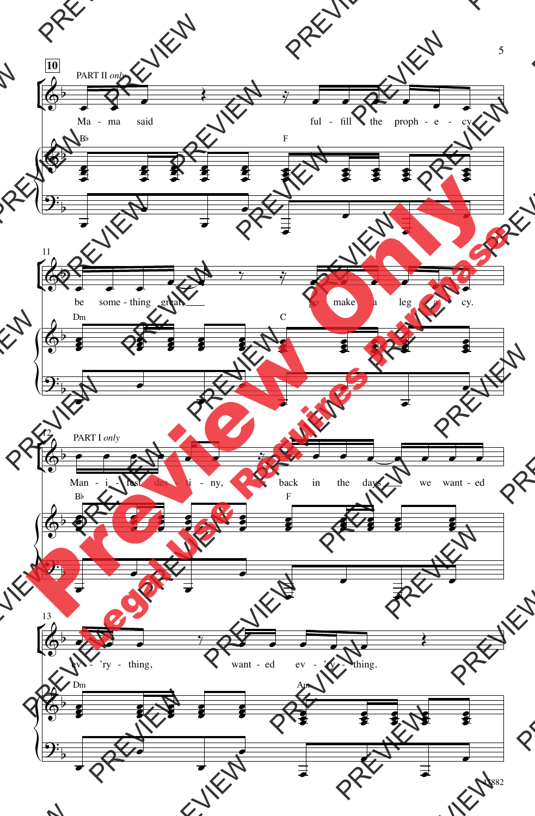

47882

5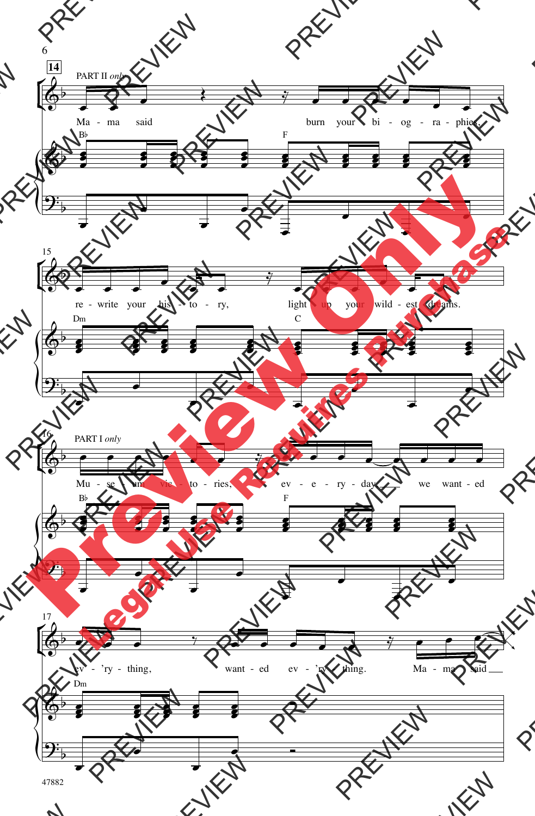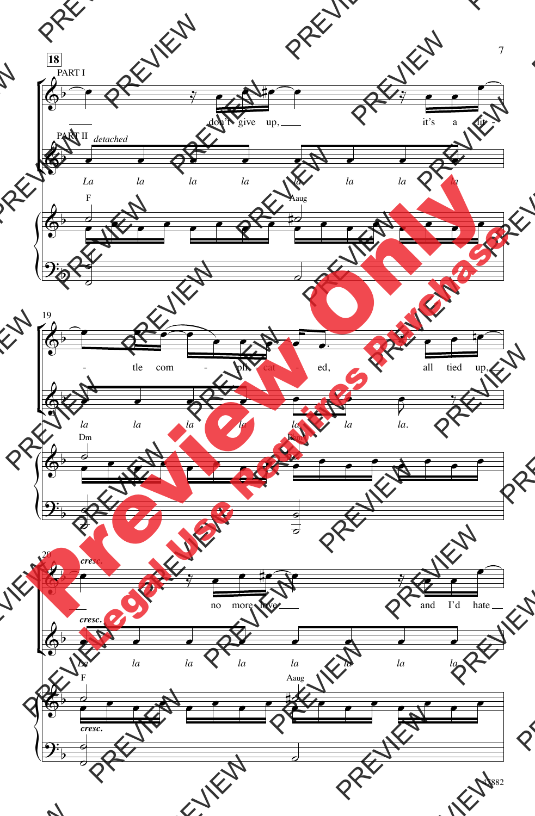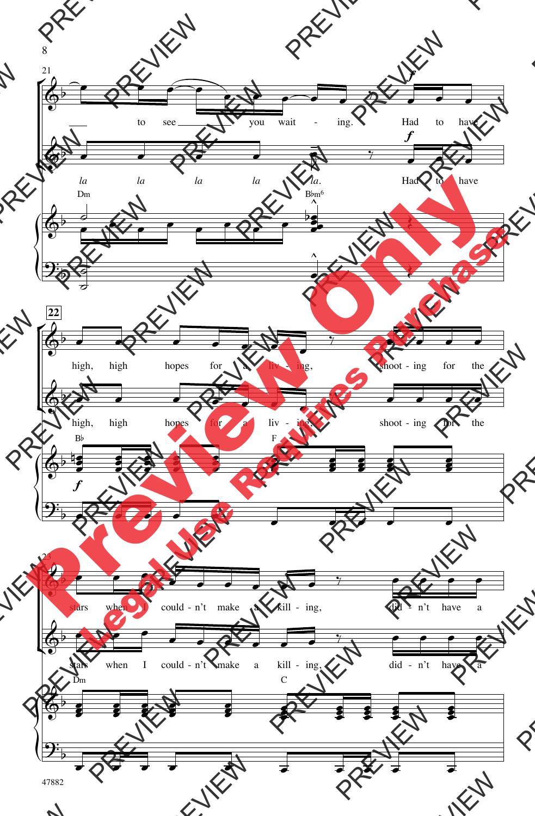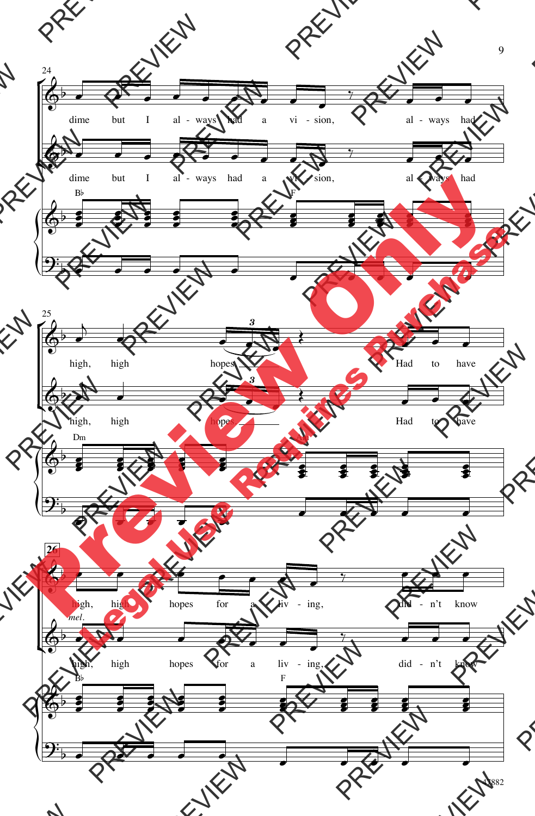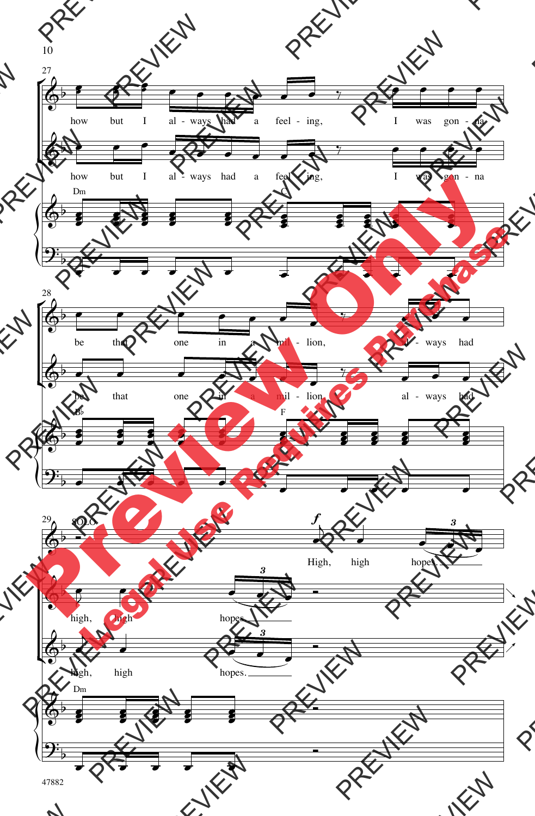![](_page_8_Figure_0.jpeg)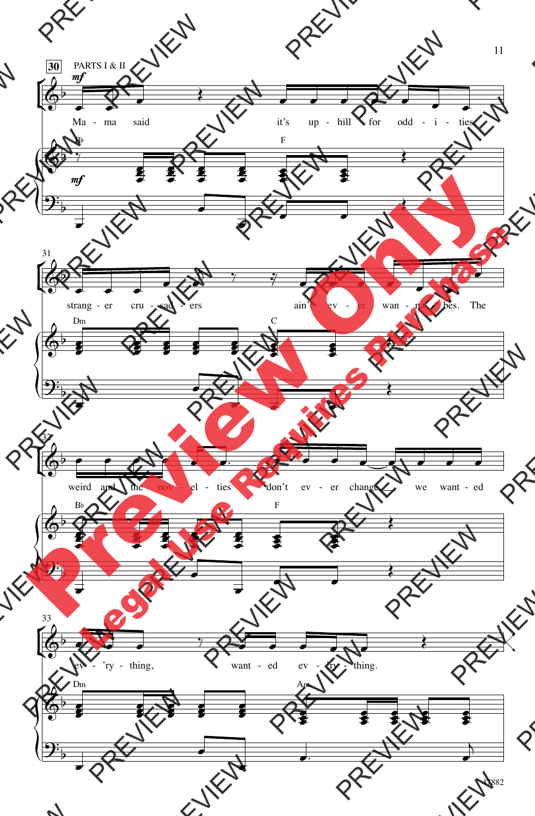![](_page_9_Figure_0.jpeg)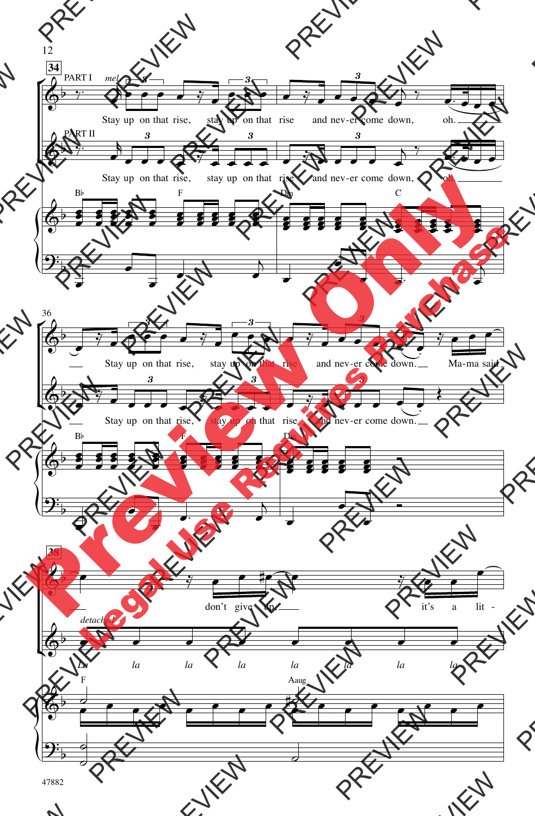![](_page_10_Figure_0.jpeg)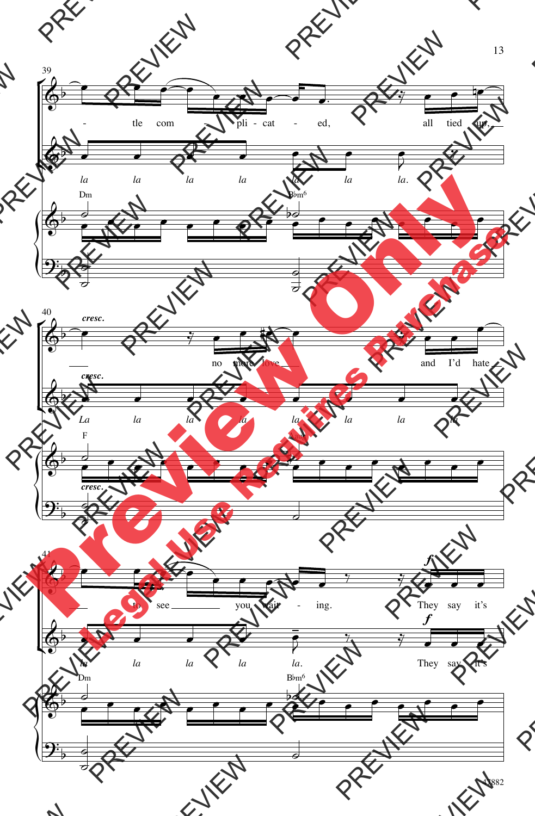![](_page_11_Figure_0.jpeg)

47882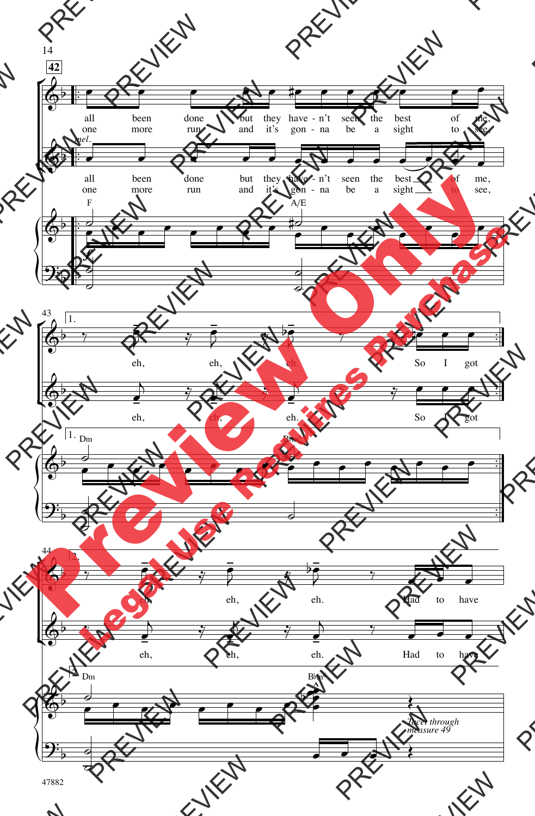![](_page_12_Figure_0.jpeg)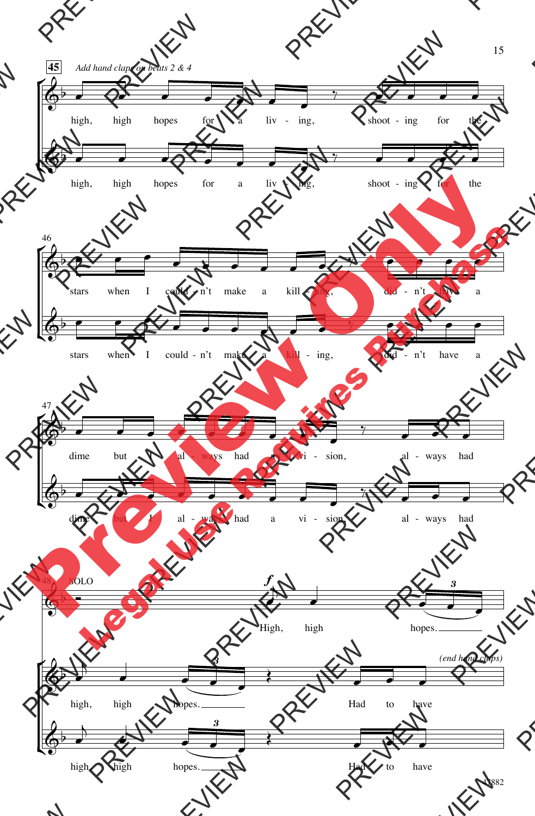![](_page_13_Figure_0.jpeg)

47882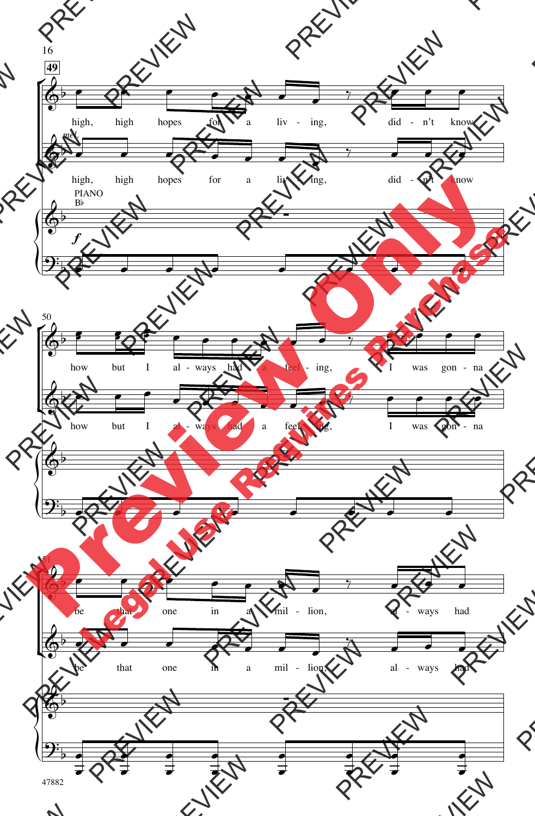![](_page_14_Figure_0.jpeg)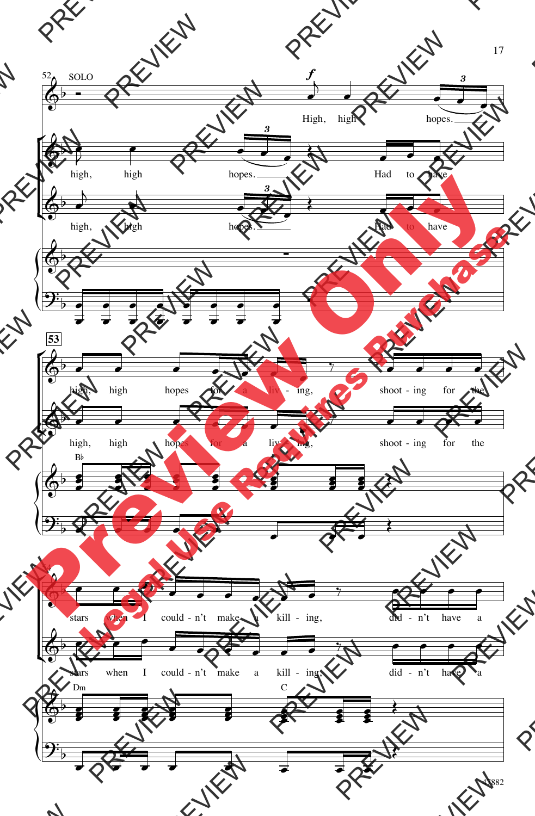![](_page_15_Figure_0.jpeg)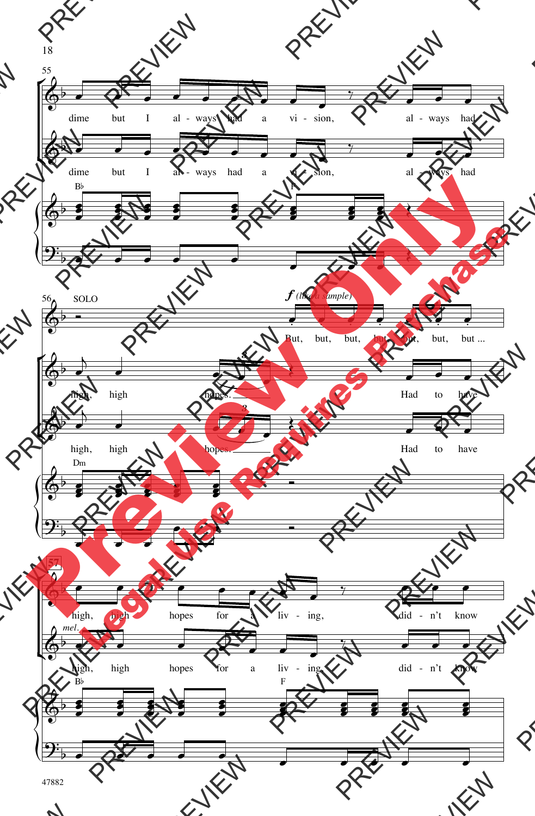![](_page_16_Figure_0.jpeg)